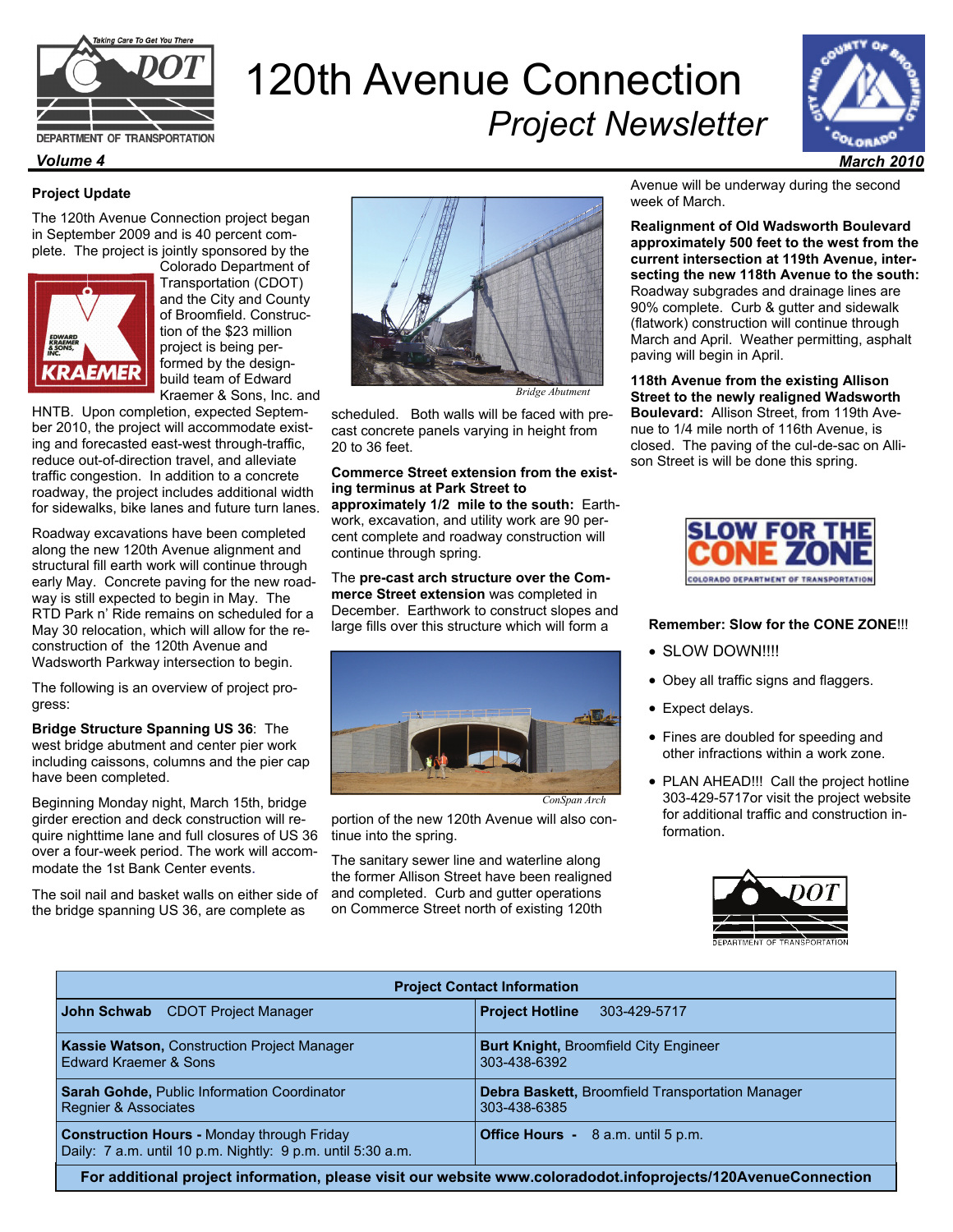

# 120th Avenue Connection *Project Newsletter*



## **Project Update**

The 120th Avenue Connection project began in September 2009 and is 40 percent complete. The project is jointly sponsored by the



Colorado Department of Transportation (CDOT) and the City and County of Broomfield. Construction of the \$23 million project is being performed by the designbuild team of Edward Kraemer & Sons, Inc. and

HNTB. Upon completion, expected September 2010, the project will accommodate existing and forecasted east-west through-traffic, reduce out-of-direction travel, and alleviate traffic congestion. In addition to a concrete roadway, the project includes additional width for sidewalks, bike lanes and future turn lanes.

Roadway excavations have been completed along the new 120th Avenue alignment and structural fill earth work will continue through early May. Concrete paving for the new roadway is still expected to begin in May. The RTD Park n' Ride remains on scheduled for a May 30 relocation, which will allow for the reconstruction of the 120th Avenue and Wadsworth Parkway intersection to begin.

The following is an overview of project progress:

**Bridge Structure Spanning US 36**: The west bridge abutment and center pier work including caissons, columns and the pier cap have been completed.

Beginning Monday night, March 15th, bridge girder erection and deck construction will require nighttime lane and full closures of US 36 over a four-week period. The work will accommodate the 1st Bank Center events.

The soil nail and basket walls on either side of the bridge spanning US 36, are complete as



*Bridge Abutment* 

scheduled. Both walls will be faced with precast concrete panels varying in height from 20 to 36 feet.

#### **Commerce Street extension from the existing terminus at Park Street to**

**approximately 1/2 mile to the south:** Earthwork, excavation, and utility work are 90 percent complete and roadway construction will continue through spring.

The **pre-cast arch structure over the Commerce Street extension** was completed in December. Earthwork to construct slopes and large fills over this structure which will form a



*ConSpan Arch* 

portion of the new 120th Avenue will also continue into the spring.

The sanitary sewer line and waterline along the former Allison Street have been realigned and completed. Curb and gutter operations on Commerce Street north of existing 120th

Avenue will be underway during the second week of March.

**Realignment of Old Wadsworth Boulevard approximately 500 feet to the west from the current intersection at 119th Avenue, intersecting the new 118th Avenue to the south:**  Roadway subgrades and drainage lines are 90% complete. Curb & gutter and sidewalk (flatwork) construction will continue through March and April. Weather permitting, asphalt paving will begin in April.

**118th Avenue from the existing Allison Street to the newly realigned Wadsworth Boulevard:** Allison Street, from 119th Avenue to 1/4 mile north of 116th Avenue, is closed. The paving of the cul-de-sac on Allison Street is will be done this spring.



### **Remember: Slow for the CONE ZONE**!!!

- SLOW DOWN!!!!
- Obey all traffic signs and flaggers.
- Expect delays.
- Fines are doubled for speeding and other infractions within a work zone.
- PLAN AHEAD!!! Call the project hotline 303-429-5717or visit the project website for additional traffic and construction information.



| <b>Project Contact Information</b>                                                                               |                                                         |
|------------------------------------------------------------------------------------------------------------------|---------------------------------------------------------|
| John Schwab                                                                                                      | <b>Project Hotline</b>                                  |
| CDOT Project Manager                                                                                             | 303-429-5717                                            |
| Kassie Watson, Construction Project Manager                                                                      | <b>Burt Knight, Broomfield City Engineer</b>            |
| Edward Kraemer & Sons                                                                                            | 303-438-6392                                            |
| <b>Sarah Gohde, Public Information Coordinator</b>                                                               | <b>Debra Baskett, Broomfield Transportation Manager</b> |
| <b>Regnier &amp; Associates</b>                                                                                  | 303-438-6385                                            |
| <b>Construction Hours - Monday through Friday</b><br>Daily: 7 a.m. until 10 p.m. Nightly: 9 p.m. until 5:30 a.m. | <b>Office Hours -</b> 8 a.m. until 5 p.m.               |
| For additional project information, please visit our website www.coloradodot.infoprojects/120AvenueConnection    |                                                         |